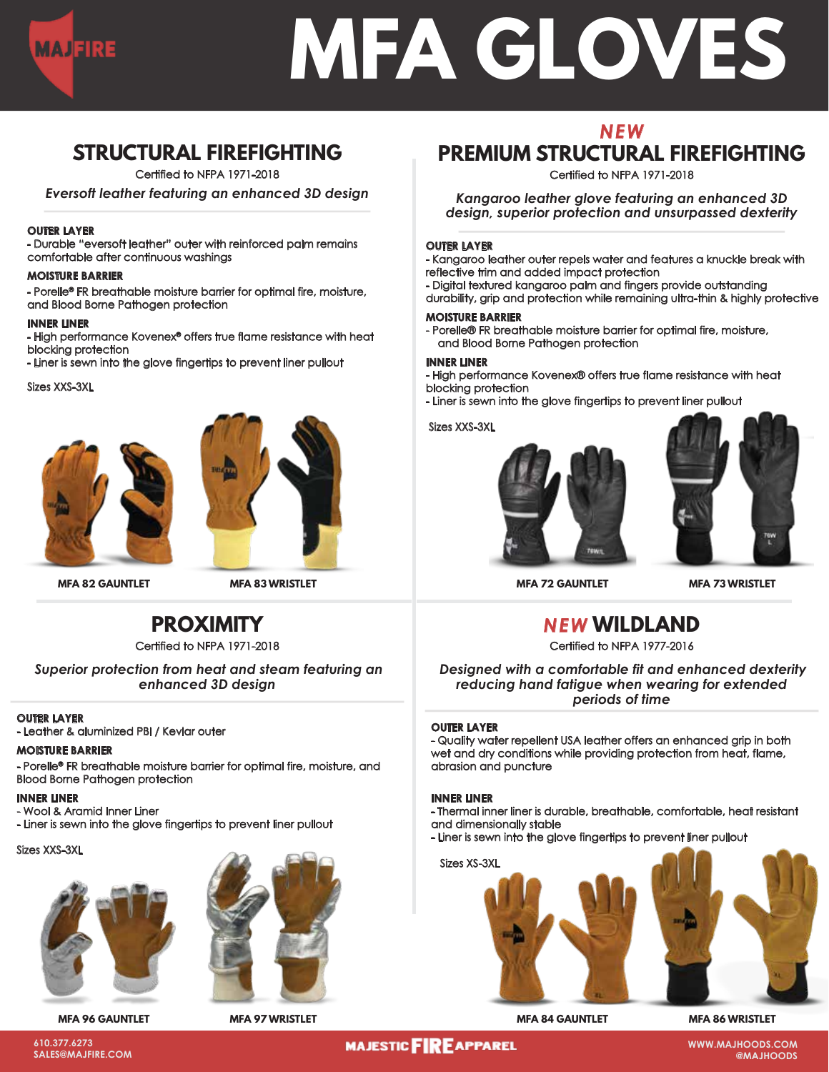

# **MFA GLOVES**

# **STRUCTURAL FIREFIGHTING**

Certified to NFPA 1971-2018

*Eversoft leather featuring an enhanced 3D design*

#### **OUTER LAYER**

- Durable "eversoft leather" outer with reinforced palm remains comfortable after continuous washings

#### **MOISTURE BARRIER**

- Porelle® FR breathable moisture barrier for optimal fire, moisture, and Blood Borne Pathogen protection

#### **INNER LINER**

- High performance Kovenex® offers true flame resistance with heat blocking protection

- Liner is sewn into the glove fingertips to prevent liner pullout

Sizes XXS-3XL





**MFA 82 GAUNTLET MFA 83 WRISTLET**

## **PROXIMITY**

Certified to NFPA 1971-2018

*Superior protection from heat and steam featuring an enhanced 3D design*

## **OUTER LAYER**

- Leather & aluminized PBI / Kevlar outer

### **MOISTURE BARRIER**

- Porelle® FR breathable moisture barrier for optimal fire, moisture, and Blood Borne Pathogen protection

#### **INNER LINER**

- Wool & Aramid Inner Liner

- Liner is sewn into the glove fingertips to prevent liner pullout

#### Sizes XXS-3XL





**MFA 96 GAUNTLET MFA 97 WRISTLET**

# *NEW* **PREMIUM STRUCTURAL FIREFIGHTING**

Certified to NFPA 1971-2018

*Kangaroo leather glove featuring an enhanced 3D design, superior protection and unsurpassed dexterity*

#### **OUTER LAYER**

- Kangaroo leather outer repels water and features a knuckle break with reflective trim and added impact protection

- Digital textured kangaroo palm and fingers provide outstanding

durability, grip and protection while remaining ultra-thin & highly protective

#### **MOISTURE BARRIER**

- Porelle® FR breathable moisture barrier for optimal fire, moisture, and Blood Borne Pathogen protection

#### **INNER LINER**

- High performance Kovenex® offers true flame resistance with heat blocking protection

- Liner is sewn into the glove fingertips to prevent liner pullout

#### Sizes XXS-3XL





**MFA 72 GAUNTLET MFA 73 WRISTLET**

## *NEW* **WILDLAND**

Certified to NFPA 1977-2016

*Designed with a comfortable fit and enhanced dexterity reducing hand fatigue when wearing for extended periods of time*

#### **OUTER LAYER**

- Quality water repellent USA leather offers an enhanced grip in both wet and dry conditions while providing protection from heat, flame, abrasion and puncture

#### **INNER LINER**

- Thermal inner liner is durable, breathable, comfortable, heat resistant and dimensionally stable

- Liner is sewn into the glove fingertips to prevent liner pullout



**MFA 84 GAUNTLET MFA 86 WRISTLET**

**610.377.6273 SALES@MAJFIRE.COM**

## **MAJESTIC FIRE APPAREL**

**WWW.MAJHOODS.COM @MAJHOODS**